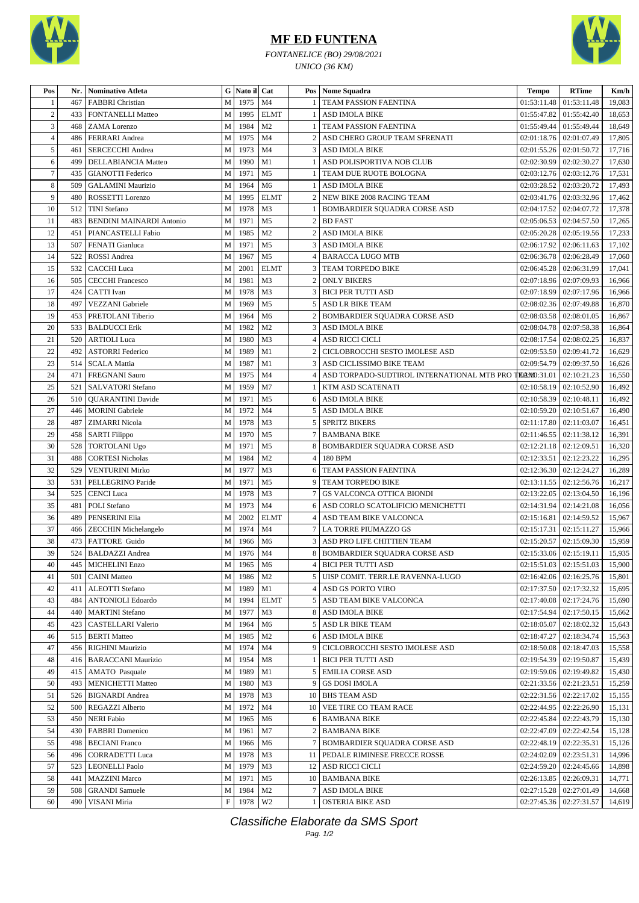

## **MF ED FUNTENA**

*FONTANELICE (BO) 29/08/2021 UNICO (36 KM)*



| Pos            | Nr. | Nominativo Atleta                                  |                           | G   Nato il   Cat |                                  |                | Pos   Nome Squadra                                     | <b>Tempo</b>              | <b>RTime</b>                  | Km/h   |
|----------------|-----|----------------------------------------------------|---------------------------|-------------------|----------------------------------|----------------|--------------------------------------------------------|---------------------------|-------------------------------|--------|
| -1             | 467 | <b>FABBRI</b> Christian                            | M                         | 1975              | M <sub>4</sub>                   |                | TEAM PASSION FAENTINA                                  | 01:53:11.48               | 01:53:11.48                   | 19,083 |
| $\overline{2}$ | 433 | <b>FONTANELLI Matteo</b>                           | M                         | 1995              | <b>ELMT</b>                      |                | <b>ASD IMOLA BIKE</b>                                  | 01:55:47.82               | 01:55:42.40                   | 18,653 |
| 3              | 468 | ZAMA Lorenzo                                       | M                         | 1984              | M <sub>2</sub>                   |                | TEAM PASSION FAENTINA                                  | 01:55:49.44               | 01:55:49.44                   | 18,649 |
| $\overline{4}$ | 486 | FERRARI Andrea                                     | M                         | 1975              | M <sub>4</sub>                   | $\overline{c}$ | ASD CHERO GROUP TEAM SFRENATI                          | 02:01:18.76               | 02:01:07.49                   | 17,805 |
| 5              | 461 | <b>SERCECCHI</b> Andrea                            | M                         | 1973              | M <sub>4</sub>                   | 3              | <b>ASD IMOLA BIKE</b>                                  | 02:01:55.26               | 02:01:50.72                   | 17,716 |
| 6              | 499 | <b>DELLABIANCIA Matteo</b>                         | M                         | 1990              | M1                               |                | ASD POLISPORTIVA NOB CLUB                              | 02:02:30.99               | 02:02:30.27                   | 17,630 |
| $\overline{7}$ | 435 | <b>GIANOTTI</b> Federico                           | M                         | 1971              | M <sub>5</sub>                   |                | TEAM DUE RUOTE BOLOGNA                                 | 02:03:12.76               | 02:03:12.76                   | 17,531 |
| 8              | 509 | <b>GALAMINI Maurizio</b>                           | M                         | 1964              | M <sub>6</sub>                   |                | <b>ASD IMOLA BIKE</b>                                  | 02:03:28.52               | 02:03:20.72                   | 17,493 |
| 9              | 480 | ROSSETTI Lorenzo                                   | M                         | 1995              | <b>ELMT</b>                      | $\overline{c}$ | <b>NEW BIKE 2008 RACING TEAM</b>                       | 02:03:41.76               | 02:03:32.96                   | 17,462 |
| 10             | 512 | <b>TINI</b> Stefano                                | M                         | 1978              | M <sub>3</sub>                   |                | BOMBARDIER SQUADRA CORSE ASD                           |                           | 02:04:17.52   02:04:07.72     | 17,378 |
| 11             | 483 | <b>BENDINI MAINARDI Antonio</b>                    | M                         | 1971              | M <sub>5</sub>                   | 2              | <b>BD FAST</b>                                         |                           | $02:05:06.53$   $02:04:57.50$ | 17,265 |
| 12             | 451 | PIANCASTELLI Fabio                                 | M                         | 1985              | M <sub>2</sub>                   | $\overline{2}$ | <b>ASD IMOLA BIKE</b>                                  | 02:05:20.28               | 02:05:19.56                   | 17,233 |
| 13             | 507 | FENATI Gianluca                                    | M                         | 1971              | M <sub>5</sub>                   | 3              | <b>ASD IMOLA BIKE</b>                                  | 02:06:17.92               | 02:06:11.63                   | 17,102 |
| 14             | 522 | ROSSI Andrea                                       | M                         | 1967              | M <sub>5</sub>                   | $\overline{4}$ | <b>BARACCA LUGO MTB</b>                                | 02:06:36.78               | 02:06:28.49                   | 17,060 |
| 15             | 532 | <b>CACCHI</b> Luca                                 | ${\bf M}$                 | 2001              | <b>ELMT</b>                      | 3              | TEAM TORPEDO BIKE                                      | 02:06:45.28               | 02:06:31.99                   | 17,041 |
| 16             | 505 | <b>CECCHI Francesco</b>                            | M                         | 1981              | M <sub>3</sub>                   |                | <b>ONLY BIKERS</b>                                     | 02:07:18.96               | 02:07:09.93                   | 16,966 |
| 17             | 424 | CATTI Ivan                                         | M                         | 1978              | M <sub>3</sub>                   | 3              | <b>BICI PER TUTTI ASD</b>                              | 02:07:18.99               | 02:07:17.96                   | 16,966 |
| 18             | 497 | VEZZANI Gabriele                                   | M                         | 1969              | M <sub>5</sub>                   | 5              | ASD LR BIKE TEAM                                       | 02:08:02.36               | 02:07:49.88                   | 16,870 |
| 19             | 453 | PRETOLANI Tiberio                                  | M                         | 1964              | M <sub>6</sub>                   | $\overline{2}$ | BOMBARDIER SQUADRA CORSE ASD                           | 02:08:03.58               | 02:08:01.05                   | 16,867 |
| 20             | 533 | <b>BALDUCCI</b> Erik                               | M                         | 1982              | M <sub>2</sub>                   | 3              | ASD IMOLA BIKE                                         | 02:08:04.78               | 02:07:58.38                   | 16,864 |
| 21             | 520 | <b>ARTIOLI</b> Luca                                | M                         | 1980              | M <sub>3</sub>                   | $\overline{4}$ | <b>ASD RICCI CICLI</b>                                 | 02:08:17.54               | 02:08:02.25                   | 16,837 |
| 22             | 492 | <b>ASTORRI Federico</b>                            | M                         | 1989              | M1                               | $\overline{c}$ | CICLOBROCCHI SESTO IMOLESE ASD                         | 02:09:53.50               | 02:09:41.72                   | 16,629 |
| 23             | 514 | <b>SCALA Mattia</b>                                | M                         | 1987              | M1                               | 3              | ASD CICLISSIMO BIKE TEAM                               | 02:09:54.79               | 02:09:37.50                   | 16,626 |
| 24             | 471 | <b>FREGNANI Sauro</b>                              | M                         | 1975              | M <sub>4</sub>                   | $\overline{4}$ | ASD TORPADO-SUDTIROL INTERNATIONAL MTB PRO TELMO:31.01 |                           | 02:10:21.23                   | 16,550 |
| 25             | 521 | <b>SALVATORI</b> Stefano                           | M                         | 1959              | M <sub>7</sub>                   |                | KTM ASD SCATENATI                                      | 02:10:58.19               | 02:10:52.90                   | 16,492 |
| 26             | 510 |                                                    | M                         | 1971              | M <sub>5</sub>                   | 6              |                                                        | 02:10:58.39               | 02:10:48.11                   | 16,492 |
| 27             | 446 | <b>QUARANTINI</b> Davide<br><b>MORINI</b> Gabriele | M                         | 1972              | M <sub>4</sub>                   | 5              | ASD IMOLA BIKE<br><b>ASD IMOLA BIKE</b>                | 02:10:59.20               | 02:10:51.67                   | 16,490 |
|                |     |                                                    |                           |                   |                                  |                |                                                        |                           |                               |        |
| 28             | 487 | <b>ZIMARRI</b> Nicola                              | M                         | 1978              | M <sub>3</sub><br>M <sub>5</sub> | 5              | <b>SPRITZ BIKERS</b>                                   | 02:11:17.80               | 02:11:03.07                   | 16,451 |
| 29             | 458 | <b>SARTI Filippo</b>                               | M                         | 1970              |                                  |                | <b>BAMBANA BIKE</b>                                    | 02:11:46.55               | 02:11:38.12                   | 16,391 |
| 30             | 528 | <b>TORTOLANI Ugo</b>                               | M                         | 1971<br>1984      | M <sub>5</sub><br>M <sub>2</sub> | 8              | BOMBARDIER SQUADRA CORSE ASD                           | 02:12:21.18               | 02:12:09.51                   | 16,320 |
| 31             | 488 | <b>CORTESI Nicholas</b>                            | M                         |                   |                                  | 4              | 180 BPM                                                | 02:12:33.51   02:12:23.22 |                               | 16,295 |
| 32             | 529 | <b>VENTURINI Mirko</b>                             | M                         | 1977              | M <sub>3</sub>                   | 6              | TEAM PASSION FAENTINA                                  | 02:12:36.30               | 02:12:24.27                   | 16,289 |
| 33             | 531 | PELLEGRINO Paride                                  | M                         | 1971              | M <sub>5</sub>                   | 9              | TEAM TORPEDO BIKE                                      | 02:13:11.55               | 02:12:56.76                   | 16,217 |
| 34             | 525 | <b>CENCI</b> Luca                                  | M                         | 1978              | M <sub>3</sub>                   |                | GS VALCONCA OTTICA BIONDI                              | 02:13:22.05               | 02:13:04.50                   | 16,196 |
| 35             | 481 | POLI Stefano                                       | M                         | 1973              | M4                               | 6              | ASD CORLO SCATOLIFICIO MENICHETTI                      | 02:14:31.94               | 02:14:21.08                   | 16,056 |
| 36             | 489 | PENSERINI Elia                                     | M                         | 2002              | <b>ELMT</b>                      | 4              | ASD TEAM BIKE VALCONCA                                 | 02:15:16.81               | 02:14:59.52                   | 15,967 |
| 37             | 466 | <b>ZECCHIN Michelangelo</b>                        | M                         | 1974              | M <sub>4</sub>                   | $\tau$         | LA TORRE PIUMAZZO GS                                   | $02:15:17.31$ 02:15:11.27 |                               | 15,966 |
| 38             | 473 | FATTORE Guido                                      | M                         | 1966              | M <sub>6</sub>                   | 3              | ASD PRO LIFE CHITTIEN TEAM                             | 02:15:20.57               | 02:15:09.30                   | 15,959 |
| 39             | 524 | <b>BALDAZZI</b> Andrea                             | M                         | 1976              | M4                               |                | <b>BOMBARDIER SOUADRA CORSE ASD</b>                    | 02:15:33.06   02:15:19.11 |                               | 15,935 |
| 40             |     | 445   MICHELINI Enzo                               | $\mathbf{M}$              | 1965              | M <sub>6</sub>                   | $\overline{4}$ | <b>BICI PER TUTTI ASD</b>                              |                           | $02:15:51.03$ 02:15:51.03     | 15,900 |
| 41             | 501 | <b>CAINI</b> Matteo                                | M                         | 1986              | M <sub>2</sub>                   |                | UISP COMIT. TERR.LE RAVENNA-LUGO                       |                           | $02:16:42.06$   $02:16:25.76$ | 15,801 |
| 42             | 411 | <b>ALEOTTI</b> Stefano                             | $\mathbf M$               | 1989              | M1                               | 4              | ASD GS PORTO VIRO                                      | 02:17:37.50               | 02:17:32.32                   | 15,695 |
| 43             | 484 | <b>ANTONIOLI Edoardo</b>                           | M                         | 1994              | <b>ELMT</b>                      | 5              | ASD TEAM BIKE VALCONCA                                 |                           | 02:17:40.08   02:17:24.76     | 15,690 |
| 44             | 440 | <b>MARTINI</b> Stefano                             | M                         | 1977              | M <sub>3</sub>                   | 8              | <b>ASD IMOLA BIKE</b>                                  | 02:17:54.94               | 02:17:50.15                   | 15,662 |
| 45             | 423 | <b>CASTELLARI Valerio</b>                          | M                         | 1964              | M <sub>6</sub>                   | 5              | ASD LR BIKE TEAM                                       | 02:18:05.07               | 02:18:02.32                   | 15,643 |
| 46             | 515 | <b>BERTI</b> Matteo                                | M                         | 1985              | M <sub>2</sub>                   | 6              | <b>ASD IMOLA BIKE</b>                                  | 02:18:47.27               | 02:18:34.74                   | 15,563 |
| 47             | 456 | <b>RIGHINI Maurizio</b>                            | М                         | 1974              | M4                               | 9              | CICLOBROCCHI SESTO IMOLESE ASD                         | 02:18:50.08               | 02:18:47.03                   | 15,558 |
| 48             | 416 | <b>BARACCANI Maurizio</b>                          | М                         | 1954              | M8                               |                | <b>BICI PER TUTTI ASD</b>                              | 02:19:54.39               | 02:19:50.87                   | 15,439 |
| 49             | 415 | <b>AMATO</b> Pasquale                              | М                         | 1989              | M1                               | 5              | <b>EMILIA CORSE ASD</b>                                | 02:19:59.06               | 02:19:49.82                   | 15,430 |
| 50             | 493 | <b>MENICHETTI Matteo</b>                           | M                         | 1980              | M <sub>3</sub>                   | 9              | <b>GS DOSI IMOLA</b>                                   | 02:21:33.56               | 02:21:23.51                   | 15,259 |
| 51             | 526 | <b>BIGNARDI</b> Andrea                             | M                         | 1978              | M <sub>3</sub>                   | 10             | <b>BHS TEAM ASD</b>                                    | 02:22:31.56               | 02:22:17.02                   | 15,155 |
| 52             | 500 | <b>REGAZZI Alberto</b>                             | M                         | 1972              | M <sub>4</sub>                   | 10             | VEE TIRE CO TEAM RACE                                  | 02:22:44.95               | 02:22:26.90                   | 15,131 |
| 53             | 450 | <b>NERI Fabio</b>                                  | M                         | 1965              | M6                               | 6              | <b>BAMBANA BIKE</b>                                    | 02:22:45.84               | 02:22:43.79                   | 15,130 |
| 54             | 430 | <b>FABBRI</b> Domenico                             | М                         | 1961              | M7                               | $\overline{2}$ | <b>BAMBANA BIKE</b>                                    | 02:22:47.09               | 02:22:42.54                   | 15,128 |
| 55             | 498 | <b>BECIANI</b> Franco                              | M                         | 1966              | M <sub>6</sub>                   |                | BOMBARDIER SQUADRA CORSE ASD                           | 02:22:48.19               | 02:22:35.31                   | 15,126 |
| 56             | 496 | <b>CORRADETTI Luca</b>                             | M                         | 1978              | M <sub>3</sub>                   | 11             | PEDALE RIMINESE FRECCE ROSSE                           | 02:24:02.09               | 02:23:51.31                   | 14,996 |
| 57             | 523 | <b>LEONELLI Paolo</b>                              | M                         | 1979              | M3                               | 12             | ASD RICCI CICLI                                        | 02:24:59.20               | 02:24:45.66                   | 14,898 |
| 58             | 441 | <b>MAZZINI</b> Marco                               | M                         | 1971              | M <sub>5</sub>                   |                | 10   BAMBANA BIKE                                      | 02:26:13.85               | 02:26:09.31                   | 14,771 |
| 59             | 508 | <b>GRANDI</b> Samuele                              | М                         | 1984              | M <sub>2</sub>                   |                | <b>ASD IMOLA BIKE</b>                                  | 02:27:15.28               | 02:27:01.49                   | 14,668 |
| 60             | 490 | VISANI Miria                                       | $\boldsymbol{\mathrm{F}}$ | 1978              | W <sub>2</sub>                   |                | <b>OSTERIA BIKE ASD</b>                                | 02:27:45.36               | 02:27:31.57                   | 14,619 |

Classifiche Elaborate da SMS Sport